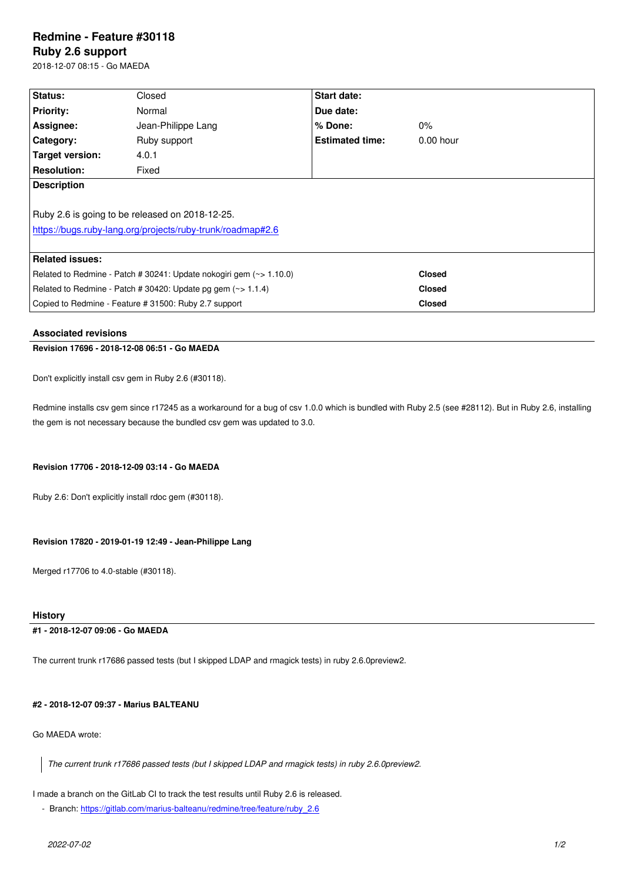#### **Ruby 2.6 support**

2018-12-07 08:15 - Go MAEDA

| <b>Status:</b>                                                      | Closed             | Start date:            |               |
|---------------------------------------------------------------------|--------------------|------------------------|---------------|
| <b>Priority:</b>                                                    | Normal             | Due date:              |               |
| Assignee:                                                           | Jean-Philippe Lang | $%$ Done:              | $0\%$         |
| <b>Category:</b>                                                    | Ruby support       | <b>Estimated time:</b> | $0.00$ hour   |
| Target version:                                                     | 4.0.1              |                        |               |
| <b>Resolution:</b>                                                  | Fixed              |                        |               |
| <b>Description</b>                                                  |                    |                        |               |
|                                                                     |                    |                        |               |
| Ruby 2.6 is going to be released on 2018-12-25.                     |                    |                        |               |
| https://bugs.ruby-lang.org/projects/ruby-trunk/roadmap#2.6          |                    |                        |               |
|                                                                     |                    |                        |               |
| <b>Related issues:</b>                                              |                    |                        |               |
| Related to Redmine - Patch # 30241: Update nokogiri gem (~> 1.10.0) |                    |                        | <b>Closed</b> |
| Related to Redmine - Patch # 30420: Update pg gem $(\sim$ 1.1.4)    |                    |                        | <b>Closed</b> |
| Copied to Redmine - Feature # 31500: Ruby 2.7 support               |                    |                        | <b>Closed</b> |

#### **Associated revisions**

#### **Revision 17696 - 2018-12-08 06:51 - Go MAEDA**

Don't explicitly install csv gem in Ruby 2.6 (#30118).

Redmine installs csv gem since r17245 as a workaround for a bug of csv 1.0.0 which is bundled with Ruby 2.5 (see #28112). But in Ruby 2.6, installing the gem is not necessary because the bundled csv gem was updated to 3.0.

#### **Revision 17706 - 2018-12-09 03:14 - Go MAEDA**

Ruby 2.6: Don't explicitly install rdoc gem (#30118).

## **Revision 17820 - 2019-01-19 12:49 - Jean-Philippe Lang**

Merged r17706 to 4.0-stable (#30118).

## **History**

#### **#1 - 2018-12-07 09:06 - Go MAEDA**

The current trunk r17686 passed tests (but I skipped LDAP and rmagick tests) in ruby 2.6.0preview2.

## **#2 - 2018-12-07 09:37 - Marius BALTEANU**

Go MAEDA wrote:

*The current trunk r17686 passed tests (but I skipped LDAP and rmagick tests) in ruby 2.6.0preview2.*

I made a branch on the GitLab CI to track the test results until Ruby 2.6 is released.

- Branch: https://gitlab.com/marius-balteanu/redmine/tree/feature/ruby\_2.6